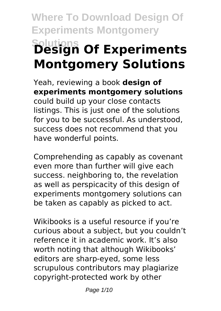# **Where To Download Design Of Experiments Montgomery Solutions Design Of Experiments Montgomery Solutions**

Yeah, reviewing a book **design of experiments montgomery solutions** could build up your close contacts listings. This is just one of the solutions for you to be successful. As understood, success does not recommend that you have wonderful points.

Comprehending as capably as covenant even more than further will give each success. neighboring to, the revelation as well as perspicacity of this design of experiments montgomery solutions can be taken as capably as picked to act.

Wikibooks is a useful resource if you're curious about a subject, but you couldn't reference it in academic work. It's also worth noting that although Wikibooks' editors are sharp-eyed, some less scrupulous contributors may plagiarize copyright-protected work by other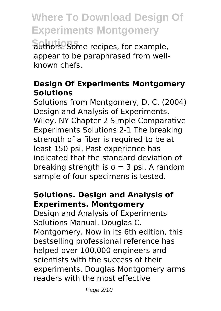**Solutions** authors. Some recipes, for example, appear to be paraphrased from wellknown chefs.

#### **Design Of Experiments Montgomery Solutions**

Solutions from Montgomery, D. C. (2004) Design and Analysis of Experiments, Wiley, NY Chapter 2 Simple Comparative Experiments Solutions 2-1 The breaking strength of a fiber is required to be at least 150 psi. Past experience has indicated that the standard deviation of breaking strength is  $\sigma = 3$  psi. A random sample of four specimens is tested.

#### **Solutions. Design and Analysis of Experiments. Montgomery**

Design and Analysis of Experiments Solutions Manual. Douglas C. Montgomery. Now in its 6th edition, this bestselling professional reference has helped over 100,000 engineers and scientists with the success of their experiments. Douglas Montgomery arms readers with the most effective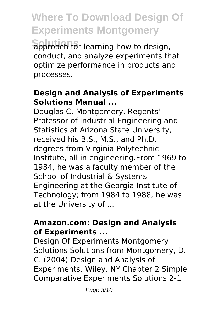**Solutions** approach for learning how to design, conduct, and analyze experiments that optimize performance in products and processes.

#### **Design and Analysis of Experiments Solutions Manual ...**

Douglas C. Montgomery, Regents' Professor of Industrial Engineering and Statistics at Arizona State University, received his B.S., M.S., and Ph.D. degrees from Virginia Polytechnic Institute, all in engineering.From 1969 to 1984, he was a faculty member of the School of Industrial & Systems Engineering at the Georgia Institute of Technology; from 1984 to 1988, he was at the University of ...

#### **Amazon.com: Design and Analysis of Experiments ...**

Design Of Experiments Montgomery Solutions Solutions from Montgomery, D. C. (2004) Design and Analysis of Experiments, Wiley, NY Chapter 2 Simple Comparative Experiments Solutions 2-1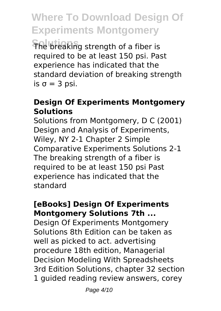**Solutions** The breaking strength of a fiber is required to be at least 150 psi. Past experience has indicated that the standard deviation of breaking strength is  $\sigma = 3$  psi.

#### **Design Of Experiments Montgomery Solutions**

Solutions from Montgomery, D C (2001) Design and Analysis of Experiments, Wiley, NY 2-1 Chapter 2 Simple Comparative Experiments Solutions 2-1 The breaking strength of a fiber is required to be at least 150 psi Past experience has indicated that the standard

#### **[eBooks] Design Of Experiments Montgomery Solutions 7th ...**

Design Of Experiments Montgomery Solutions 8th Edition can be taken as well as picked to act. advertising procedure 18th edition, Managerial Decision Modeling With Spreadsheets 3rd Edition Solutions, chapter 32 section 1 guided reading review answers, corey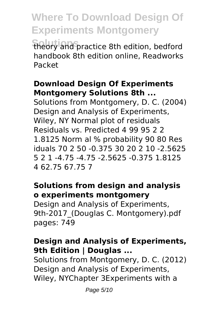**Solutions** theory and practice 8th edition, bedford handbook 8th edition online, Readworks Packet

#### **Download Design Of Experiments Montgomery Solutions 8th ...**

Solutions from Montgomery, D. C. (2004) Design and Analysis of Experiments, Wiley, NY Normal plot of residuals Residuals vs. Predicted 4 99 95 2 2 1.8125 Norm al % probability 90 80 Res iduals 70 2 50 -0.375 30 20 2 10 -2.5625 5 2 1 -4.75 -4.75 -2.5625 -0.375 1.8125 4 62.75 67.75 7

#### **Solutions from design and analysis o experiments montgomery**

Design and Analysis of Experiments, 9th-2017 (Douglas C. Montgomery).pdf pages: 749

#### **Design and Analysis of Experiments, 9th Edition | Douglas ...**

Solutions from Montgomery, D. C. (2012) Design and Analysis of Experiments, Wiley, NYChapter 3Experiments with a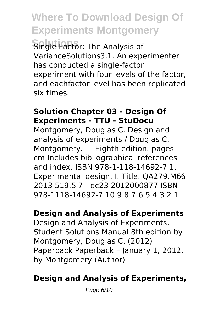**Single Factor: The Analysis of** VarianceSolutions3.1. An experimenter has conducted a single-factor experiment with four levels of the factor, and eachfactor level has been replicated six times.

#### **Solution Chapter 03 - Design Of Experiments - TTU - StuDocu**

Montgomery, Douglas C. Design and analysis of experiments / Douglas C. Montgomery. — Eighth edition. pages cm Includes bibliographical references and index. ISBN 978-1-118-14692-7 1. Experimental design. I. Title. QA279.M66 2013 519.5'7—dc23 2012000877 ISBN 978-1118-14692-7 10 9 8 7 6 5 4 3 2 1

#### **Design and Analysis of Experiments**

Design and Analysis of Experiments, Student Solutions Manual 8th edition by Montgomery, Douglas C. (2012) Paperback Paperback – January 1, 2012. by Montgomery (Author)

#### **Design and Analysis of Experiments,**

Page 6/10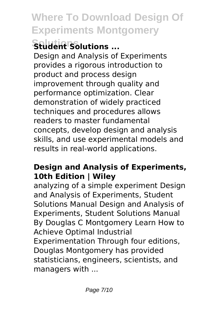# **Solutions Student Solutions ...**

Design and Analysis of Experiments provides a rigorous introduction to product and process design improvement through quality and performance optimization. Clear demonstration of widely practiced techniques and procedures allows readers to master fundamental concepts, develop design and analysis skills, and use experimental models and results in real-world applications.

#### **Design and Analysis of Experiments, 10th Edition | Wiley**

analyzing of a simple experiment Design and Analysis of Experiments, Student Solutions Manual Design and Analysis of Experiments, Student Solutions Manual By Douglas C Montgomery Learn How to Achieve Optimal Industrial Experimentation Through four editions, Douglas Montgomery has provided statisticians, engineers, scientists, and managers with ...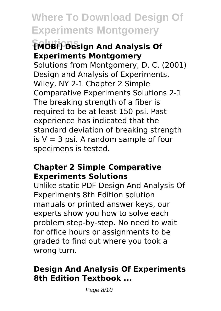#### **[MOBI] Design And Analysis Of Experiments Montgomery**

Solutions from Montgomery, D. C. (2001) Design and Analysis of Experiments, Wiley, NY 2-1 Chapter 2 Simple Comparative Experiments Solutions 2-1 The breaking strength of a fiber is required to be at least 150 psi. Past experience has indicated that the standard deviation of breaking strength is  $V = 3$  psi. A random sample of four specimens is tested.

#### **Chapter 2 Simple Comparative Experiments Solutions**

Unlike static PDF Design And Analysis Of Experiments 8th Edition solution manuals or printed answer keys, our experts show you how to solve each problem step-by-step. No need to wait for office hours or assignments to be graded to find out where you took a wrong turn.

#### **Design And Analysis Of Experiments 8th Edition Textbook ...**

Page 8/10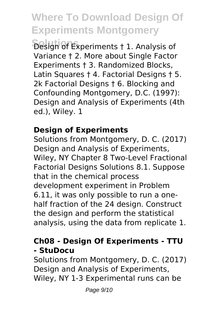**Solutions** Design of Experiments † 1. Analysis of Variance † 2. More about Single Factor Experiments † 3. Randomized Blocks, Latin Squares † 4. Factorial Designs † 5. 2k Factorial Designs † 6. Blocking and Confounding Montgomery, D.C. (1997): Design and Analysis of Experiments (4th ed.), Wiley. 1

#### **Design of Experiments**

Solutions from Montgomery, D. C. (2017) Design and Analysis of Experiments, Wiley, NY Chapter 8 Two-Level Fractional Factorial Designs Solutions 8.1. Suppose that in the chemical process development experiment in Problem 6.11, it was only possible to run a onehalf fraction of the 24 design. Construct the design and perform the statistical analysis, using the data from replicate 1.

#### **Ch08 - Design Of Experiments - TTU - StuDocu**

Solutions from Montgomery, D. C. (2017) Design and Analysis of Experiments, Wiley, NY 1-3 Experimental runs can be